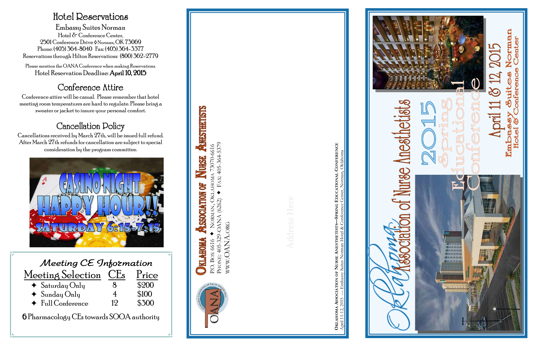| Meeting CE Information          |    |       |  |  |
|---------------------------------|----|-------|--|--|
| Meeting Selection CEs           |    | Price |  |  |
| $\triangleleft$ Saturday Only   |    | \$200 |  |  |
| $\blacklozenge$ Sunday Only     | 4  | \$100 |  |  |
| $\triangleleft$ Full Conference | 19 | \$300 |  |  |

6 Pharmacology CEs towards SOOA authority

#### Hotel Reservations

Embassy Suites Norman Hotel & Conference Center, 2501 Conference Drive ◊ Norman, OK 73069 Phone: (405) 364-8040 Fax: (405) 364-3377 Reservations through Hilton Reservations: (800) 362-2779

Please mention the OANA Conference when making Reservations. Hotel Reservation Deadline: April 10, 2015

#### Conference Attire

Conference attire will be casual. Please remember that hotel meeting room temperatures are hard to regulate. Please bring a sweater or jacket to insure your personal comfort.

### Cancellation Policy

Cancellations received by March 27th, will be issued full refund. After March 27th refunds for cancellation are subject to special consideration by the program committee.